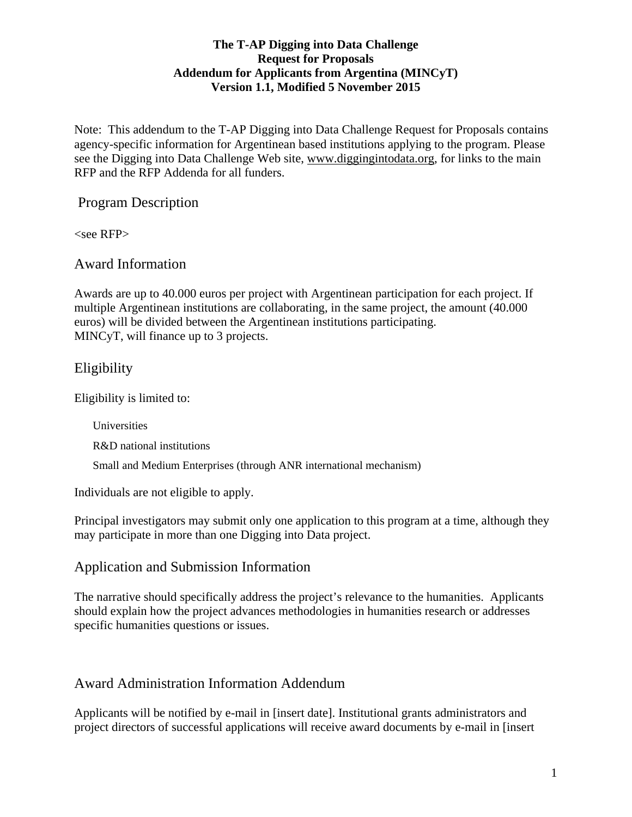#### **The T-AP Digging into Data Challenge Request for Proposals Addendum for Applicants from Argentina (MINCyT) Version 1.1, Modified 5 November 2015**

Note: This addendum to the T-AP Digging into Data Challenge Request for Proposals contains agency-specific information for Argentinean based institutions applying to the program. Please see the Digging into Data Challenge Web site, www.diggingintodata.org, for links to the main RFP and the RFP Addenda for all funders.

#### Program Description

 $<$ see RFP $>$ 

Award Information

Awards are up to 40.000 euros per project with Argentinean participation for each project. If multiple Argentinean institutions are collaborating, in the same project, the amount (40.000 euros) will be divided between the Argentinean institutions participating. MINCyT, will finance up to 3 projects.

# Eligibility

Eligibility is limited to:

Universities R&D national institutions Small and Medium Enterprises (through ANR international mechanism)

Individuals are not eligible to apply.

Principal investigators may submit only one application to this program at a time, although they may participate in more than one Digging into Data project.

### Application and Submission Information

The narrative should specifically address the project's relevance to the humanities. Applicants should explain how the project advances methodologies in humanities research or addresses specific humanities questions or issues.

# Award Administration Information Addendum

Applicants will be notified by e-mail in [insert date]. Institutional grants administrators and project directors of successful applications will receive award documents by e-mail in [insert